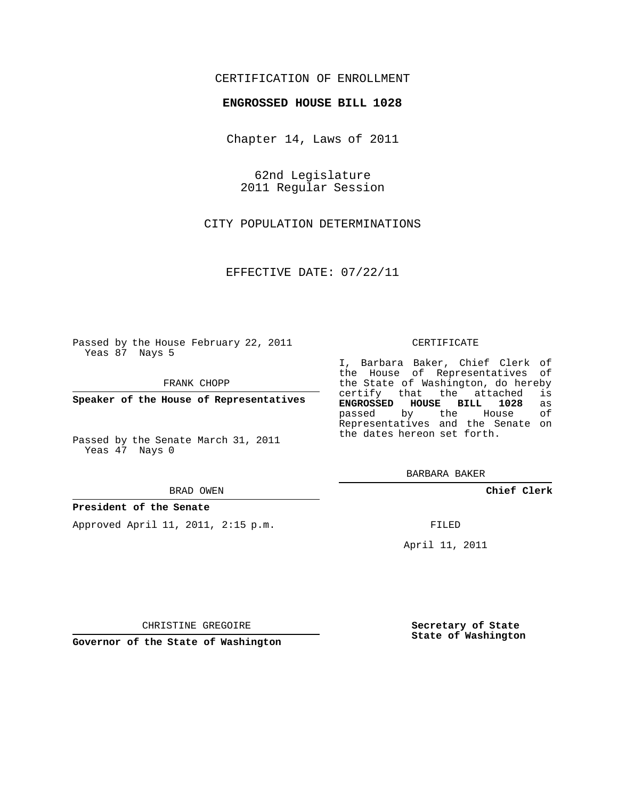## CERTIFICATION OF ENROLLMENT

### **ENGROSSED HOUSE BILL 1028**

Chapter 14, Laws of 2011

62nd Legislature 2011 Regular Session

CITY POPULATION DETERMINATIONS

EFFECTIVE DATE: 07/22/11

Passed by the House February 22, 2011 Yeas 87 Nays 5

FRANK CHOPP

**Speaker of the House of Representatives**

Passed by the Senate March 31, 2011 Yeas 47 Nays 0

#### BRAD OWEN

#### **President of the Senate**

Approved April 11, 2011, 2:15 p.m.

#### CERTIFICATE

I, Barbara Baker, Chief Clerk of the House of Representatives of the State of Washington, do hereby<br>certify that the attached is certify that the attached **ENGROSSED HOUSE BILL 1028** as passed by the House Representatives and the Senate on the dates hereon set forth.

BARBARA BAKER

**Chief Clerk**

FILED

April 11, 2011

CHRISTINE GREGOIRE

**Governor of the State of Washington**

**Secretary of State State of Washington**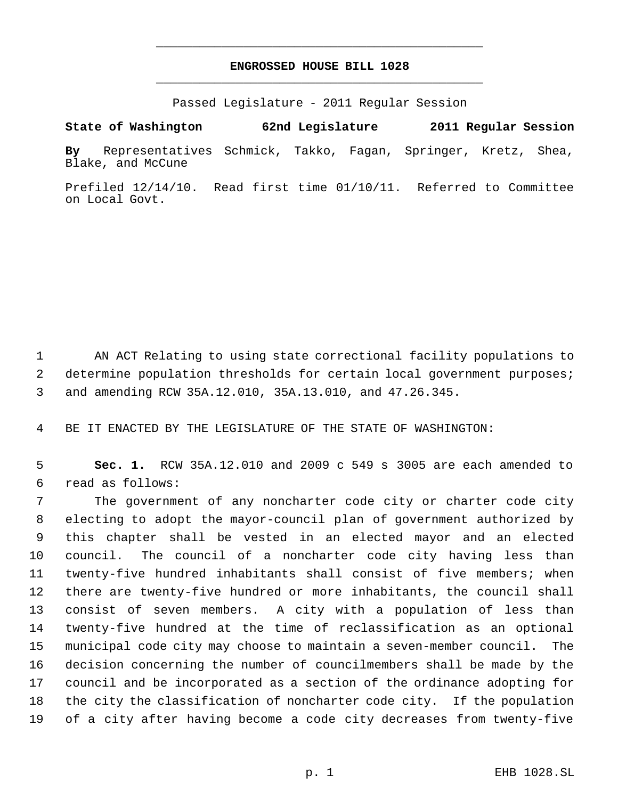# **ENGROSSED HOUSE BILL 1028** \_\_\_\_\_\_\_\_\_\_\_\_\_\_\_\_\_\_\_\_\_\_\_\_\_\_\_\_\_\_\_\_\_\_\_\_\_\_\_\_\_\_\_\_\_

\_\_\_\_\_\_\_\_\_\_\_\_\_\_\_\_\_\_\_\_\_\_\_\_\_\_\_\_\_\_\_\_\_\_\_\_\_\_\_\_\_\_\_\_\_

Passed Legislature - 2011 Regular Session

**State of Washington 62nd Legislature 2011 Regular Session**

**By** Representatives Schmick, Takko, Fagan, Springer, Kretz, Shea, Blake, and McCune

Prefiled 12/14/10. Read first time 01/10/11. Referred to Committee on Local Govt.

 AN ACT Relating to using state correctional facility populations to 2 determine population thresholds for certain local government purposes; and amending RCW 35A.12.010, 35A.13.010, and 47.26.345.

BE IT ENACTED BY THE LEGISLATURE OF THE STATE OF WASHINGTON:

 **Sec. 1.** RCW 35A.12.010 and 2009 c 549 s 3005 are each amended to read as follows:

 The government of any noncharter code city or charter code city electing to adopt the mayor-council plan of government authorized by this chapter shall be vested in an elected mayor and an elected council. The council of a noncharter code city having less than twenty-five hundred inhabitants shall consist of five members; when there are twenty-five hundred or more inhabitants, the council shall consist of seven members. A city with a population of less than twenty-five hundred at the time of reclassification as an optional municipal code city may choose to maintain a seven-member council. The decision concerning the number of councilmembers shall be made by the council and be incorporated as a section of the ordinance adopting for the city the classification of noncharter code city. If the population of a city after having become a code city decreases from twenty-five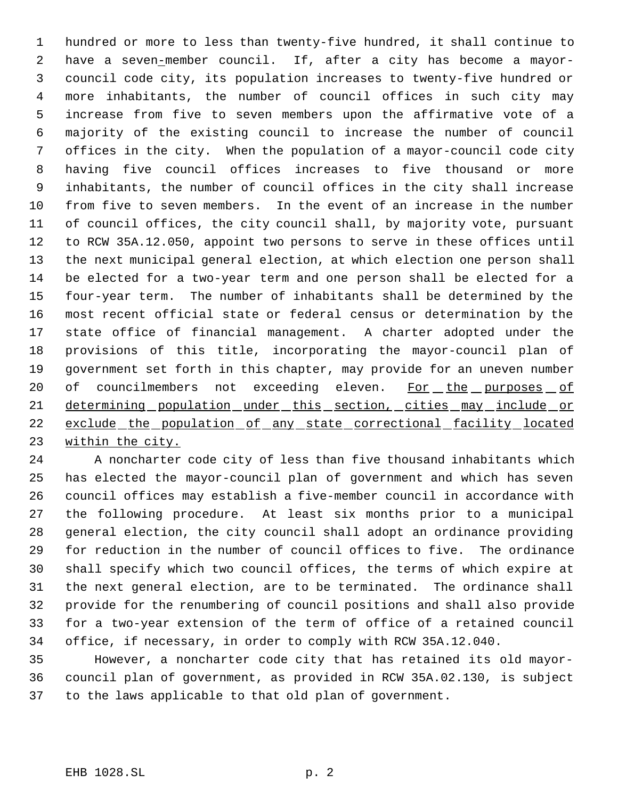hundred or more to less than twenty-five hundred, it shall continue to have a seven-member council. If, after a city has become a mayor- council code city, its population increases to twenty-five hundred or more inhabitants, the number of council offices in such city may increase from five to seven members upon the affirmative vote of a majority of the existing council to increase the number of council offices in the city. When the population of a mayor-council code city having five council offices increases to five thousand or more inhabitants, the number of council offices in the city shall increase from five to seven members. In the event of an increase in the number of council offices, the city council shall, by majority vote, pursuant to RCW 35A.12.050, appoint two persons to serve in these offices until the next municipal general election, at which election one person shall be elected for a two-year term and one person shall be elected for a four-year term. The number of inhabitants shall be determined by the most recent official state or federal census or determination by the state office of financial management. A charter adopted under the provisions of this title, incorporating the mayor-council plan of government set forth in this chapter, may provide for an uneven number 20 of councilmembers not exceeding eleven. For the purposes of 21 determining population under this section, cities may include or exclude the population of any state correctional facility located within the city.

 A noncharter code city of less than five thousand inhabitants which has elected the mayor-council plan of government and which has seven council offices may establish a five-member council in accordance with the following procedure. At least six months prior to a municipal general election, the city council shall adopt an ordinance providing for reduction in the number of council offices to five. The ordinance shall specify which two council offices, the terms of which expire at the next general election, are to be terminated. The ordinance shall provide for the renumbering of council positions and shall also provide for a two-year extension of the term of office of a retained council office, if necessary, in order to comply with RCW 35A.12.040.

 However, a noncharter code city that has retained its old mayor- council plan of government, as provided in RCW 35A.02.130, is subject to the laws applicable to that old plan of government.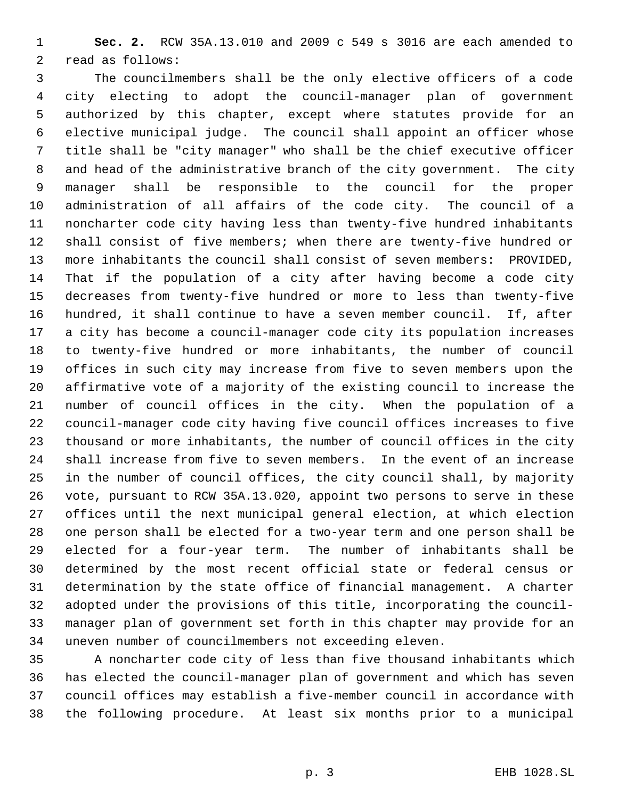**Sec. 2.** RCW 35A.13.010 and 2009 c 549 s 3016 are each amended to read as follows:

 The councilmembers shall be the only elective officers of a code city electing to adopt the council-manager plan of government authorized by this chapter, except where statutes provide for an elective municipal judge. The council shall appoint an officer whose title shall be "city manager" who shall be the chief executive officer and head of the administrative branch of the city government. The city manager shall be responsible to the council for the proper administration of all affairs of the code city. The council of a noncharter code city having less than twenty-five hundred inhabitants shall consist of five members; when there are twenty-five hundred or more inhabitants the council shall consist of seven members: PROVIDED, That if the population of a city after having become a code city decreases from twenty-five hundred or more to less than twenty-five hundred, it shall continue to have a seven member council. If, after a city has become a council-manager code city its population increases to twenty-five hundred or more inhabitants, the number of council offices in such city may increase from five to seven members upon the affirmative vote of a majority of the existing council to increase the number of council offices in the city. When the population of a council-manager code city having five council offices increases to five thousand or more inhabitants, the number of council offices in the city shall increase from five to seven members. In the event of an increase in the number of council offices, the city council shall, by majority vote, pursuant to RCW 35A.13.020, appoint two persons to serve in these offices until the next municipal general election, at which election one person shall be elected for a two-year term and one person shall be elected for a four-year term. The number of inhabitants shall be determined by the most recent official state or federal census or determination by the state office of financial management. A charter adopted under the provisions of this title, incorporating the council- manager plan of government set forth in this chapter may provide for an uneven number of councilmembers not exceeding eleven.

 A noncharter code city of less than five thousand inhabitants which has elected the council-manager plan of government and which has seven council offices may establish a five-member council in accordance with the following procedure. At least six months prior to a municipal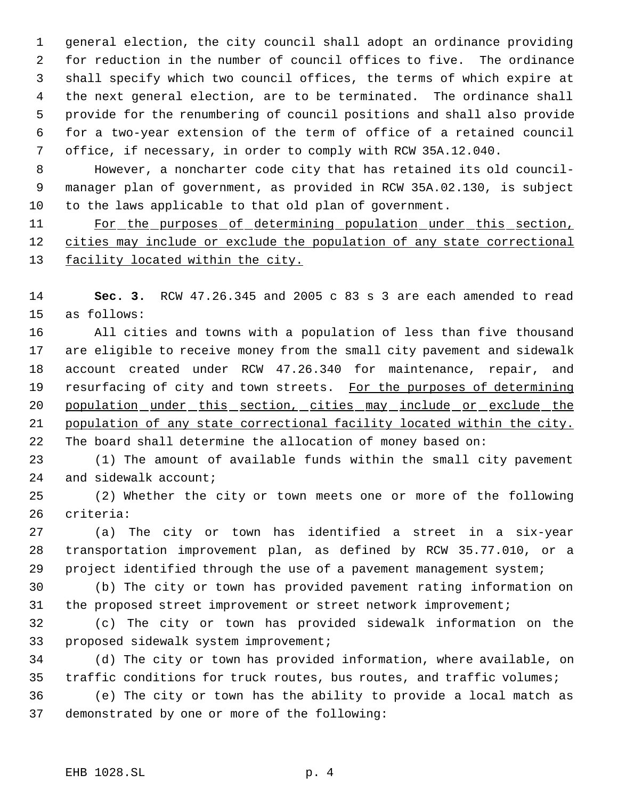general election, the city council shall adopt an ordinance providing for reduction in the number of council offices to five. The ordinance shall specify which two council offices, the terms of which expire at the next general election, are to be terminated. The ordinance shall provide for the renumbering of council positions and shall also provide for a two-year extension of the term of office of a retained council office, if necessary, in order to comply with RCW 35A.12.040.

 However, a noncharter code city that has retained its old council- manager plan of government, as provided in RCW 35A.02.130, is subject to the laws applicable to that old plan of government.

 For the purposes of determining population under this section, cities may include or exclude the population of any state correctional 13 facility located within the city.

 **Sec. 3.** RCW 47.26.345 and 2005 c 83 s 3 are each amended to read as follows:

 All cities and towns with a population of less than five thousand are eligible to receive money from the small city pavement and sidewalk account created under RCW 47.26.340 for maintenance, repair, and 19 resurfacing of city and town streets. For the purposes of determining 20 population under this section, cities may include or exclude the population of any state correctional facility located within the city. The board shall determine the allocation of money based on:

 (1) The amount of available funds within the small city pavement 24 and sidewalk account;

 (2) Whether the city or town meets one or more of the following criteria:

 (a) The city or town has identified a street in a six-year transportation improvement plan, as defined by RCW 35.77.010, or a project identified through the use of a pavement management system;

 (b) The city or town has provided pavement rating information on the proposed street improvement or street network improvement;

 (c) The city or town has provided sidewalk information on the proposed sidewalk system improvement;

 (d) The city or town has provided information, where available, on traffic conditions for truck routes, bus routes, and traffic volumes;

 (e) The city or town has the ability to provide a local match as demonstrated by one or more of the following: